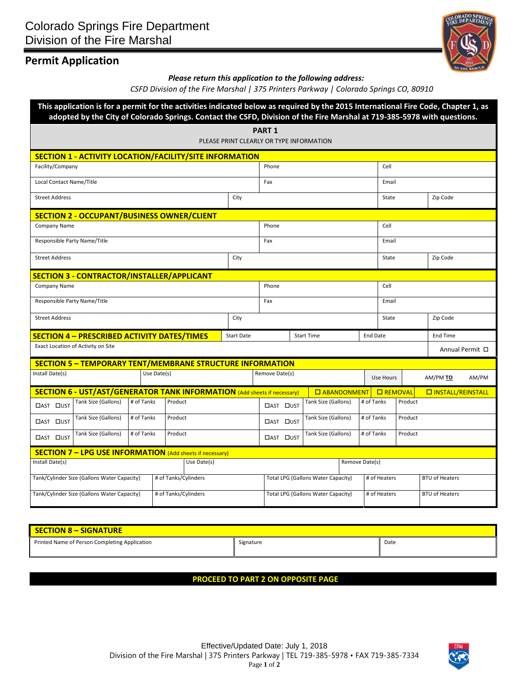# **Permit Application**



*Please return this application to the following address:*

*CSFD Division of the Fire Marshal | 375 Printers Parkway | Colorado Springs CO, 80910*

|                                                                     |                                    |            |             | This application is for a permit for the activities indicated below as required by the 2015 International Fire Code, Chapter 1, as<br>adopted by the City of Colorado Springs. Contact the CSFD, Division of the Fire Marshal at 719-385-5978 with questions. |                                        |                                                           |  |                      |                 |                       |                       |                            |                 |  |
|---------------------------------------------------------------------|------------------------------------|------------|-------------|---------------------------------------------------------------------------------------------------------------------------------------------------------------------------------------------------------------------------------------------------------------|----------------------------------------|-----------------------------------------------------------|--|----------------------|-----------------|-----------------------|-----------------------|----------------------------|-----------------|--|
|                                                                     |                                    |            |             |                                                                                                                                                                                                                                                               |                                        | <b>PART 1</b><br>PLEASE PRINT CLEARLY OR TYPE INFORMATION |  |                      |                 |                       |                       |                            |                 |  |
| SECTION 1 - ACTIVITY LOCATION/FACILITY/SITE INFORMATION             |                                    |            |             |                                                                                                                                                                                                                                                               |                                        |                                                           |  |                      |                 |                       |                       |                            |                 |  |
| Facility/Company                                                    |                                    |            |             |                                                                                                                                                                                                                                                               |                                        | Phone                                                     |  |                      |                 | Cell                  |                       |                            |                 |  |
| Local Contact Name/Title                                            |                                    |            |             |                                                                                                                                                                                                                                                               | Fax                                    |                                                           |  |                      | Email           |                       |                       |                            |                 |  |
| <b>Street Address</b>                                               |                                    |            |             | City                                                                                                                                                                                                                                                          |                                        |                                                           |  | State                |                 | Zip Code              |                       |                            |                 |  |
| <b>SECTION 2 - OCCUPANT/BUSINESS OWNER/CLIENT</b>                   |                                    |            |             |                                                                                                                                                                                                                                                               |                                        |                                                           |  |                      |                 |                       |                       |                            |                 |  |
| Company Name                                                        |                                    |            |             |                                                                                                                                                                                                                                                               | Phone                                  |                                                           |  |                      | Cell            |                       |                       |                            |                 |  |
| Responsible Party Name/Title                                        |                                    |            |             |                                                                                                                                                                                                                                                               | Fax                                    |                                                           |  |                      | Email           |                       |                       |                            |                 |  |
| <b>Street Address</b>                                               |                                    |            |             |                                                                                                                                                                                                                                                               | City                                   |                                                           |  |                      | State           |                       | Zip Code              |                            |                 |  |
| <b>SECTION 3 - CONTRACTOR/INSTALLER/APPLICANT</b>                   |                                    |            |             |                                                                                                                                                                                                                                                               |                                        |                                                           |  |                      |                 |                       |                       |                            |                 |  |
| Company Name                                                        |                                    |            |             |                                                                                                                                                                                                                                                               |                                        | Phone                                                     |  |                      |                 | Cell                  |                       |                            |                 |  |
| Responsible Party Name/Title                                        |                                    |            |             |                                                                                                                                                                                                                                                               | Fax                                    |                                                           |  | Email                |                 |                       |                       |                            |                 |  |
| <b>Street Address</b>                                               |                                    |            |             |                                                                                                                                                                                                                                                               | City                                   |                                                           |  | State                |                 | Zip Code              |                       |                            |                 |  |
| <b>SECTION 4 - PRESCRIBED ACTIVITY DATES/TIMES</b>                  |                                    |            |             |                                                                                                                                                                                                                                                               | <b>Start Date</b><br><b>Start Time</b> |                                                           |  |                      | <b>End Date</b> |                       | <b>End Time</b>       |                            |                 |  |
|                                                                     | Exact Location of Activity on Site |            |             |                                                                                                                                                                                                                                                               |                                        |                                                           |  |                      |                 |                       |                       |                            | Annual Permit □ |  |
| <b>SECTION 5 - TEMPORARY TENT/MEMBRANE STRUCTURE INFORMATION</b>    |                                    |            |             |                                                                                                                                                                                                                                                               |                                        |                                                           |  |                      |                 |                       |                       |                            |                 |  |
| Install Date(s)                                                     |                                    |            | Use Date(s) |                                                                                                                                                                                                                                                               |                                        | Remove Date(s)                                            |  |                      |                 | Use Hours             |                       | AM/PM TO                   | AM/PM           |  |
|                                                                     |                                    |            |             | <b>SECTION 6 - UST/AST/GENERATOR TANK INFORMATION (Add sheets if necessary)</b>                                                                                                                                                                               |                                        |                                                           |  | <b>O</b> ABANDONMENT |                 | <b>O</b> REMOVAL      |                       | <b>O INSTALL/REINSTALL</b> |                 |  |
| □AST □UST                                                           | Tank Size (Gallons)                | # of Tanks |             | Product                                                                                                                                                                                                                                                       |                                        | □AST □UST                                                 |  | Tank Size (Gallons)  |                 | # of Tanks            | Product               |                            |                 |  |
| □AST □UST                                                           | Tank Size (Gallons)                | # of Tanks |             | Product                                                                                                                                                                                                                                                       |                                        | □AST □UST                                                 |  | Tank Size (Gallons)  |                 | # of Tanks            | Product               |                            |                 |  |
| □AST □UST                                                           | Tank Size (Gallons)                | # of Tanks |             | Product                                                                                                                                                                                                                                                       |                                        | □AST □UST                                                 |  | Tank Size (Gallons)  |                 | # of Tanks            | Product               |                            |                 |  |
| <b>SECTION 7 - LPG USE INFORMATION</b> (Add sheets if necessary)    |                                    |            |             |                                                                                                                                                                                                                                                               |                                        |                                                           |  |                      |                 |                       |                       |                            |                 |  |
| Install Date(s)<br>Use Date(s)                                      |                                    |            |             |                                                                                                                                                                                                                                                               | Remove Date(s)                         |                                                           |  |                      |                 |                       |                       |                            |                 |  |
| # of Tanks/Cylinders<br>Tank/Cylinder Size (Gallons Water Capacity) |                                    |            |             |                                                                                                                                                                                                                                                               |                                        | Total LPG (Gallons Water Capacity)                        |  |                      | # of Heaters    | <b>BTU of Heaters</b> |                       |                            |                 |  |
| # of Tanks/Cylinders<br>Tank/Cylinder Size (Gallons Water Capacity) |                                    |            |             |                                                                                                                                                                                                                                                               |                                        | <b>Total LPG (Gallons Water Capacity)</b>                 |  |                      | # of Heaters    |                       | <b>BTU of Heaters</b> |                            |                 |  |

| SECTION 8 - SIGNATURE                         |           |      |  |  |  |  |  |  |
|-----------------------------------------------|-----------|------|--|--|--|--|--|--|
| Printed Name of Person Completing Application | Signature | Date |  |  |  |  |  |  |

### **PROCEED TO PART 2 ON OPPOSITE PAGE**